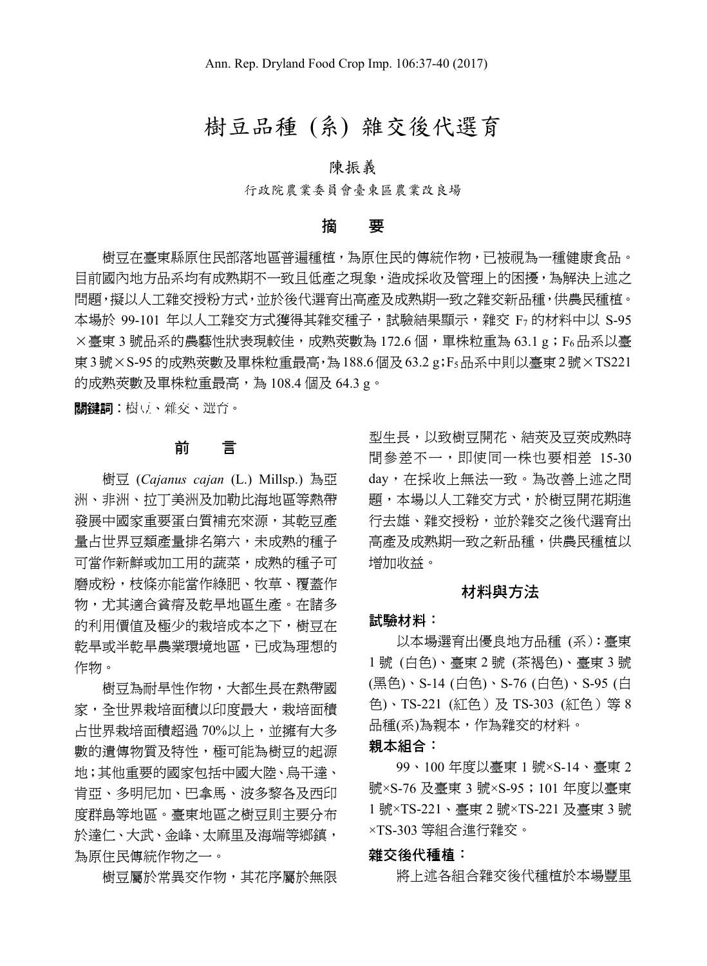# 樹豆品種 (系) 雜交後代選育

## 陳振義

行政院農業委員會臺東區農業改良場

#### 摘 要

樹豆在臺東縣原住民部落地區普遍種植,為原住民的傳統作物,已被視為一種健康食品。 目前國內地方品系均有成熟期不一致且低產之現象,造成採收及管理上的困擾,為解決上述之 問題, 擬以人工雜交授粉方式, 並於後代選育出高產及成熟期一致之雜交新品種, 供農民種植。 本場於 99-101 年以人工雜交方式獲得其雜交種子,試驗結果顯示,雜交 F7 的材料中以 S-95 ×臺東 3 號品系的農藝性狀表現較佳,成熟莢數為 172.6 個,單株粒重為 63.1 g;F6品系以臺 東3號×S-95的成熟莢數及單株粒重最高,為188.6個及63.2 g;F5品系中則以臺東2號×TS221 的成熟莢數及單株粒重最高,為 108.4 個及 64.3 g。

關鍵詞︰樹豆、雜交、選育。

## 前 言

樹豆 (*Cajanus cajan* (L.) Millsp.) 為亞 洲、非洲、拉丁美洲及加勒比海地區等熱帶 發展中國家重要蛋白質補充來源,其乾豆產 量占世界豆類產量排名第六,未成熟的種子 可當作新鮮或加工用的蔬菜,成熟的種子可 磨成粉,枝條亦能當作綠肥、牧草、覆蓋作 物,尤其適合貧瘠及乾旱地區生產。在諸多 的利用價值及極少的栽培成本之下,樹豆在 乾旱或半乾旱農業環境地區,已成為理想的 作物。

樹豆為耐旱性作物,大都生長在熱帶國 家,全世界栽培面積以印度最大,栽培面積 占世界栽培面積超過 70%以上,並擁有大多 數的遺傳物質及特性,極可能為樹豆的起源 地;其他重要的國家包括中國大陸、烏干達、 肯亞、多明尼加、巴拿馬、波多黎各及西印 度群島等地區。臺東地區之樹豆則主要分布 於達仁、大武、金峰、太麻里及海端等鄉鎮, 為原住民傳統作物之一。

樹豆屬於常異交作物,其花序屬於無限

型生長,以致樹豆開花、結莢及豆莢成熟時 間參差不一,即使同一株也要相差 15-30 day,在採收上無法一致。為改善上述之問 題,本場以人工雜交方式,於樹豆開花期進 行去雄、雜交授粉,並於雜交之後代選育出 高產及成熟期一致之新品種,供農民種植以 增加收益。

#### 材料與方法

#### 試驗材料:

以本場選育出優良地方品種 (系):臺東 1 號 (白色)、臺東 2 號 (茶褐色)、臺東 3 號 (黑色)、S-14 (白色)、S-76 (白色)、S-95 (白 色)、TS-221 (紅色)及 TS-303 (紅色) 等 8 品種(系)為親本,作為雜交的材料。

親本組合:

99、100 年度以臺東 1 號×S-14、臺東 2 號×S-76 及臺東 3 號×S-95;101 年度以臺東 1 號×TS-221、臺東 2 號×TS-221 及臺東 3 號 ×TS-303 等組合進行雜交。

### 雜交後代種植:

將上述各組合雜交後代種植於本場豐里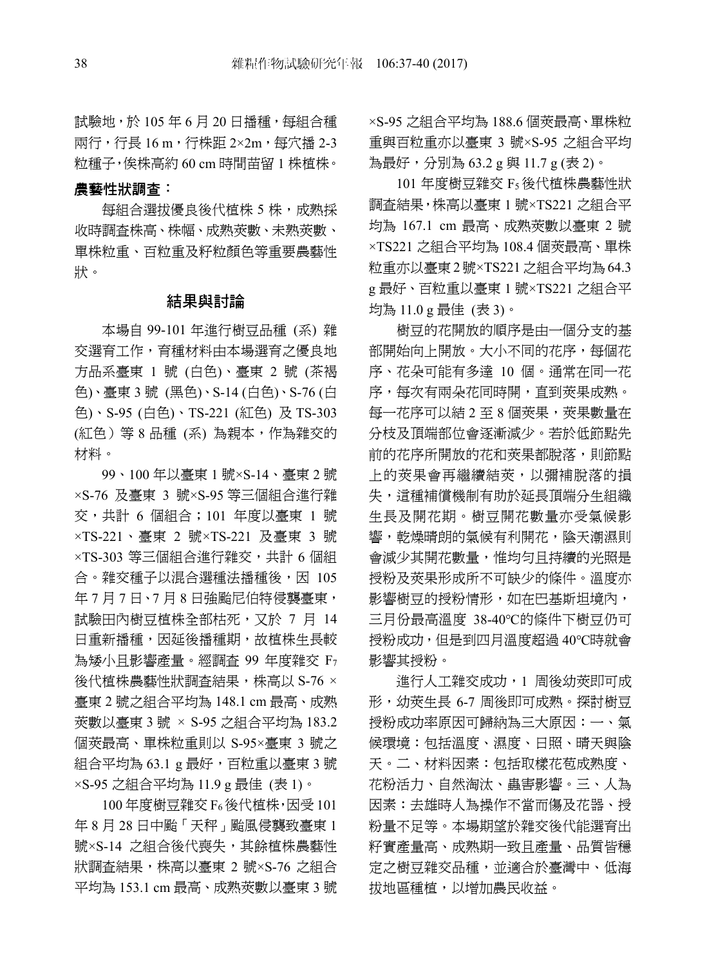試驗地,於 105年6月20日播種,每組合種 兩行,行長 16 m,行株距 2×2m,每穴播 2-3 粒種子,俟株高約 60 cm 時間苗留 1 株植株。

農藝性狀調查:

每組合選拔優良後代植株 5 株,成熟採 收時調查株高、株幅、成熟莢數、未熟莢數、 單株粒重、百粒重及籽粒顏色等重要農藝性 狀。

### 結果與討論

本場自 99-101 年進行樹豆品種 (系) 雜 交選育工作,育種材料由本場選育之優良地 方品系臺東 1 號 (白色)、臺東 2 號 (茶褐 色)、臺東 3 號 (黑色)、S-14 (白色)、S-76 (白 色)、S-95 (白色)、TS-221 (紅色) 及 TS-303 (紅色)等 8 品種 (系) 為親本,作為雜交的 材料。

99、100 年以臺東 1 號×S-14、臺東 2 號 ×S-76 及臺東 3 號×S-95 等三個組合進行雜 交,共計 6 個組合;101 年度以臺東 1 號 ×TS-221、臺東 2 號×TS-221 及臺東 3 號 ×TS-303 等三個組合進行雜交,共計 6 個組 合。雜交種子以混合選種法播種後,因 105 年 7 月 7 日、7 月 8 日強颱尼伯特侵襲臺東, 試驗田內樹豆植株全部枯死,又於 7 月 14 日重新播種,因延後播種期,故植株生長較 為矮小且影響產量。經調查 99 年度雜交 F7 後代植株農藝性狀調查結果,株高以 S-76 × 臺東 2 號之組合平均為 148.1 cm 最高、成熟 莢數以臺東 3 號 × S-95 之組合平均為 183.2 個莢最高、單株粒重則以 S-95×臺東 3 號之 組合平均為 63.1 g 最好,百粒重以臺東 3 號 ×S-95 之組合平均為 11.9 g 最佳 (表 1)。

100 年度樹豆雜交 F6後代植株,因受 101 年 8 月 28 日中颱「天秤」颱風侵襲致臺東 1 號×S-14 之組合後代喪失,其餘植株農藝性 狀調查結果,株高以臺東 2 號×S-76 之組合 平均為 153.1 cm 最高、成熟莢數以臺東 3 號

×S-95 之組合平均為 188.6 個莢最高、單株粒 重與百粒重亦以臺東 3 號×S-95 之組合平均 為最好,分別為 63.2 g 與 11.7 g (表 2)。

101 年度樹豆雜交 F5後代植株農藝性狀 調查結果,株高以臺東 1 號×TS221 之組合平 均為 167.1 cm 最高、成熟莢數以臺東 2 號 ×TS221 之組合平均為 108.4 個莢最高、單株 粒重亦以臺東2號×TS221之組合平均為64.3 g 最好、百粒重以臺東 1 號×TS221 之組合平 均為 11.0 g 最佳 (表 3)。

樹豆的花開放的順序是由一個分支的基 部開始向上開放。大小不同的花序,每個花 序、花朵可能有多達 10 個。通常在同一花 序,每次有兩朵花同時開,直到莢果成熟。 每一花序可以結 2 至 8 個莢果,莢果數量在 分枝及頂端部位會逐漸減少。若於低節點先 前的花序所開放的花和莢果都脫落,則節點 上的莢果會再繼續結莢,以彌補脫落的損 失,這種補償機制有助於延長頂端分生組織 生長及開花期。樹豆開花數量亦受氣候影 響,乾燥晴朗的氣候有利開花,陰天潮濕則 會減少其開花數量,惟均勻且持續的光照是 授粉及莢果形成所不可缺少的條件。溫度亦 影響樹豆的授粉情形,如在巴基斯坦境內, 三月份最高溫度 38-40℃的條件下樹豆仍可 授粉成功,但是到四月溫度超過 40℃時就會 影響其授粉。

進行人工雜交成功,1 周後幼莢即可成 形,幼莢生長 6-7 周後即可成熟。探討樹豆 授粉成功率原因可歸納為三大原因:一、氣 候環境:包括溫度、濕度、日照、晴天與陰 天。二、材料因素:包括取樣花苞成熟度、 花粉活力、自然淘汰、蟲害影響。三、人為 因素:去雄時人為操作不當而傷及花器、授 粉量不足等。本場期望於雜交後代能選育出 籽實產量高、成熟期一致且產量、品質皆穩 定之樹豆雜交品種,並適合於臺灣中、低海 拔地區種植,以增加農民收益。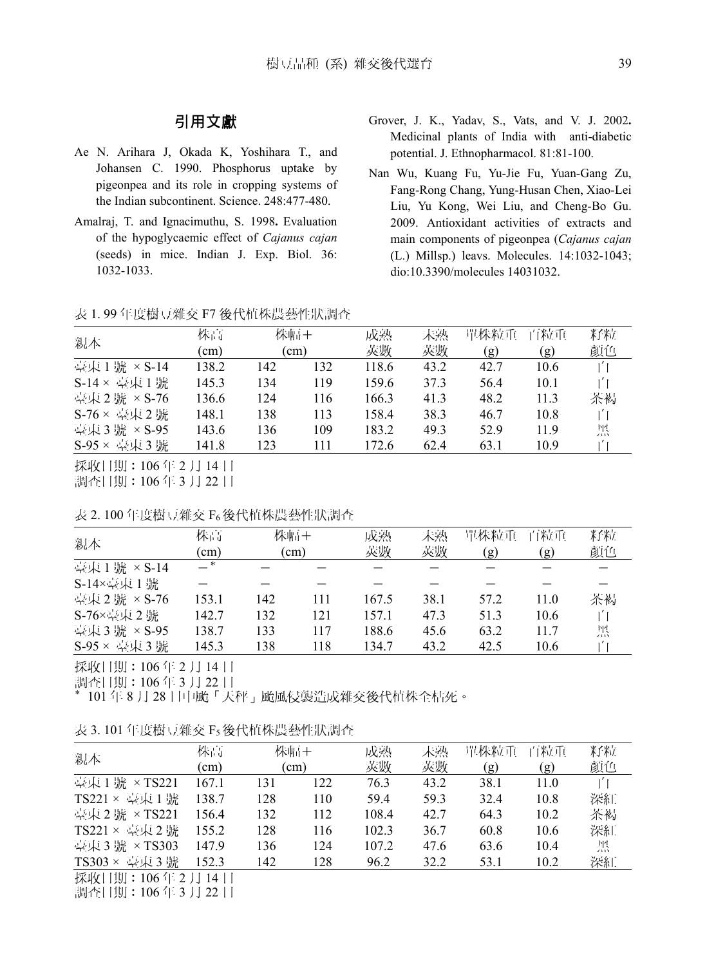## 引用文獻

- Ae N. Arihara J, Okada K, Yoshihara T., and Johansen C. 1990. Phosphorus uptake by pigeonpea and its role in cropping systems of the Indian subcontinent. Science. 248:477-480.
- Amalraj, T. and Ignacimuthu, S. 1998**.** Evaluation of the hypoglycaemic effect of *Cajanus cajan*  (seeds) in mice. Indian J. Exp. Biol. 36: 1032-1033.
- Grover, J. K., Yadav, S., Vats, and V. J. 2002**.** Medicinal plants of India with anti-diabetic potential. J. Ethnopharmacol. 81:81-100.
- Nan Wu, Kuang Fu, Yu-Jie Fu, Yuan-Gang Zu, Fang-Rong Chang, Yung-Husan Chen, Xiao-Lei Liu, Yu Kong, Wei Liu, and Cheng-Bo Gu. 2009. Antioxidant activities of extracts and main components of pigeonpea (*Cajanus cajan* (L.) Millsp.) leavs. Molecules. 14:1032-1043; dio:10.3390/molecules 14031032.

表 1. 99 年度樹豆雜交 F7 後代植株農藝性狀調查

|                       | 株高          | 株幅+<br>$\rm cm)$ |     | 成熟    | 未熟   | 單株粒重 | 百粒重  | 籽粒 |  |
|-----------------------|-------------|------------------|-----|-------|------|------|------|----|--|
| 親本                    | $\text{cm}$ |                  |     | 莢數    | 莢數   | (g)  | (g)  | 顏色 |  |
| 臺東1<br>號 × S-14       | 138.2       | 142              | 132 | 118.6 | 43.2 | 42.7 | 10.6 | 白  |  |
| 臺東1號<br>$S-14 \times$ | 145.3       | 134              | 119 | 159.6 | 37.3 | 56.4 | 10.1 | 白  |  |
| 臺東2號 × S-76           | 136.6       | 124              | 116 | 166.3 | 41.3 | 48.2 | 11.3 | 茶褐 |  |
| S-76 × 臺東 2 號         | 148.1       | 138              | 113 | 158.4 | 38.3 | 46.7 | 10.8 | 白  |  |
| 臺東3號 × S-95           | 143.6       | 136              | 109 | 183.2 | 49.3 | 52.9 | 11.9 | 黑  |  |
| 臺東3號<br>$S-95 \times$ | 141.8       | 123              | 111 | 172.6 | 62.4 | 63.1 | 10.9 |    |  |
|                       |             |                  |     |       |      |      |      |    |  |

採收日期:106 年 2 月 14 日 調查日期:106 年 3 月 22 日

表 2. 100 年度樹豆雜交 F6後代植株農藝性狀調查

| 親本          | 株高<br>$\text{cm}$ | 株幅+<br>(cm) |     | 成熟<br>莢數 | 未熟<br>莢數 | 單株粒重<br>(g) | 百粒重<br>(g) | 籽粒<br>顏色 |
|-------------|-------------------|-------------|-----|----------|----------|-------------|------------|----------|
| 臺東1號 × S-14 | — *               |             |     |          |          |             |            |          |
| S-14×臺東 1號  |                   |             |     |          |          |             |            |          |
| 臺東2號 × S-76 | 153.1             | 142         | 111 | 167.5    | 38.1     | 57.2        | 11.0       | 茶褐       |
| S-76×臺東 2號  | 142.7             | 132         | 121 | 157.1    | 47.3     | 51.3        | 10.6       | 白        |
| 臺東3號 × S-95 | 138.7             | 133         | 117 | 188.6    | 45.6     | 63.2        | 11.7       | 黑        |
| S-95 × 臺東3號 | 145.3             | 138         | 118 | 134.7    | 43.2     | 42.5        | 10.6       |          |

採收日期:106 年 2 月 14 日

調查日期:106 年 3 月 22 日

\* 101 年 8 月 28 日中颱「天秤」颱風侵襲造成雜交後代植株全枯死。

|  | 表 3.101 年度樹豆雜交 F5後代植株農藝性狀調査 |  |  |
|--|-----------------------------|--|--|
|  |                             |  |  |

| 親本              | 株高    | 株幅+  |     | 成熟    | 未熟   | 單株粒重 | 百粒重  | 籽粒 |  |
|-----------------|-------|------|-----|-------|------|------|------|----|--|
|                 | (cm)  | (cm) |     | 莢數    | 莢數   | (g)  | (g)  | 顏色 |  |
| 臺東1號 × TS221    | 167.1 | 131  | 122 | 76.3  | 43.2 | 38.1 | 11.0 | 白  |  |
| TS221 × 臺東1號    | 138.7 | 128  | 110 | 59.4  | 59.3 | 32.4 | 10.8 | 深紅 |  |
| 臺東2號 × TS221    | 156.4 | 132  | 112 | 108.4 | 42.7 | 64.3 | 10.2 | 茶褐 |  |
| TS221 × 臺東 2 號  | 155.2 | 128  | 116 | 102.3 | 36.7 | 60.8 | 10.6 | 深紅 |  |
| 臺東 3號 × TS303   | 147.9 | 136  | 124 | 107.2 | 47.6 | 63.6 | 10.4 | 黑  |  |
| TS303 × 臺東 3號   | 152.3 | 142  | 128 | 96.2  | 32.2 | 53.1 | 10.2 | 深紅 |  |
| 採收日期: 106年2月14日 |       |      |     |       |      |      |      |    |  |

調查日期:106 年 3 月 22 日